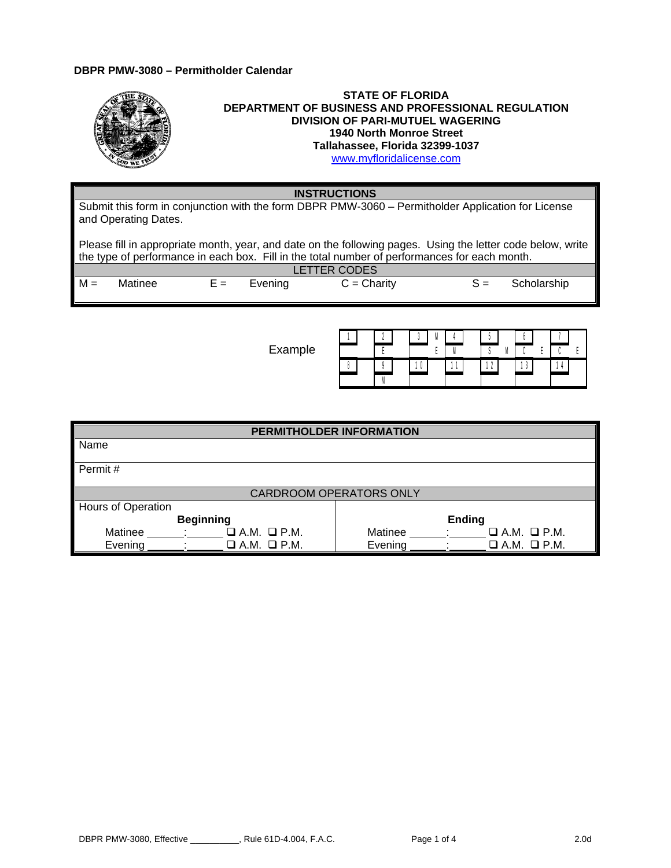## **DBPR PMW-3080 – Permitholder Calendar**

|                                                                | <b>STATE OF FLORIDA</b><br><b>DEPARTMENT OF BUSINESS AND PROFESSIONAL REGULATION</b><br><b>DIVISION OF PARI-MUTUEL WAGERING</b><br><b>1940 North Monroe Street</b><br>Tallahassee, Florida 32399-1037<br>www.myfloridalicense.com |
|----------------------------------------------------------------|-----------------------------------------------------------------------------------------------------------------------------------------------------------------------------------------------------------------------------------|
| <b>INSTRUCTIONS</b>                                            |                                                                                                                                                                                                                                   |
| Cultural this farm in senius stice with the farm DDDD DMM 2000 | Devel the later Application for License                                                                                                                                                                                           |

Submit this form in conjunction with the form DBPR PMW-3060 – Permitholder Application for License and Operating Dates.

Please fill in appropriate month, year, and date on the following pages. Using the letter code below, write the type of performance in each box. Fill in the total number of performances for each month.

|       |         |               | LETTER CODES  |                   |
|-------|---------|---------------|---------------|-------------------|
| $M =$ | Matinee | $E =$ Evening | $C =$ Charity | $S =$ Scholarship |

Example

|  |  |  | M |  |  |  |  |
|--|--|--|---|--|--|--|--|
|  |  |  |   |  |  |  |  |
|  |  |  |   |  |  |  |  |
|  |  |  |   |  |  |  |  |

| PERMITHOLDER INFORMATION           |
|------------------------------------|
|                                    |
|                                    |
|                                    |
|                                    |
| <b>CARDROOM OPERATORS ONLY</b>     |
|                                    |
| Ending                             |
| Matinee<br>$\Box$ A.M. $\Box$ P.M. |
| Evening<br>$\Box$ A.M. $\Box$ P.M. |
|                                    |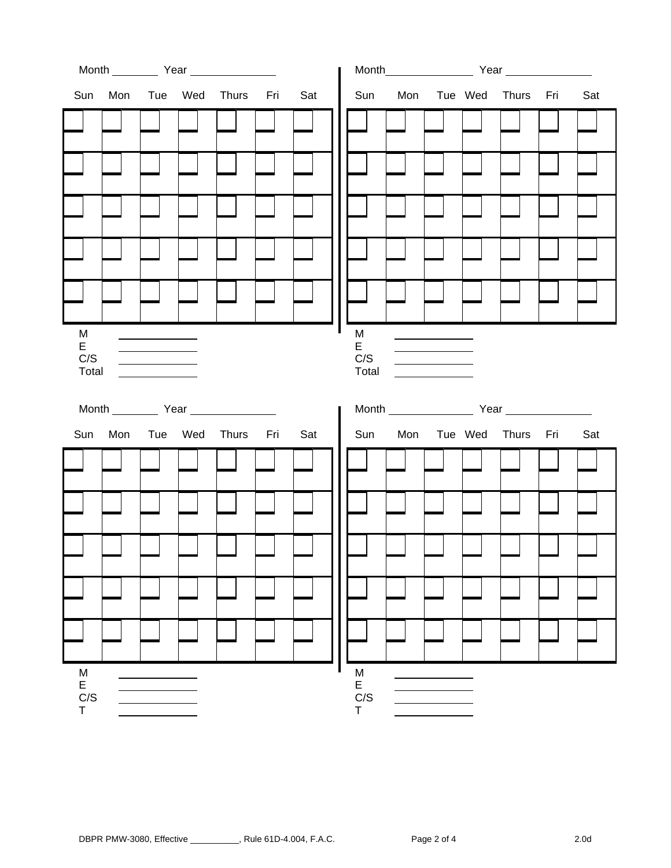|                             |                                                                                                                                                                                                                                                       | Month Year            |     |                        |                                               | Month Year Year           |     |
|-----------------------------|-------------------------------------------------------------------------------------------------------------------------------------------------------------------------------------------------------------------------------------------------------|-----------------------|-----|------------------------|-----------------------------------------------|---------------------------|-----|
| Sun                         |                                                                                                                                                                                                                                                       | Mon Tue Wed Thurs Fri | Sat |                        |                                               | Sun Mon Tue Wed Thurs Fri | Sat |
|                             |                                                                                                                                                                                                                                                       |                       |     |                        |                                               |                           |     |
|                             |                                                                                                                                                                                                                                                       |                       |     |                        |                                               |                           |     |
|                             |                                                                                                                                                                                                                                                       |                       |     |                        |                                               |                           |     |
|                             |                                                                                                                                                                                                                                                       |                       |     |                        |                                               |                           |     |
|                             |                                                                                                                                                                                                                                                       |                       |     |                        |                                               |                           |     |
| M<br>E<br>C/S<br>Total      | $\mathcal{L}^{\text{max}}$ and $\mathcal{L}^{\text{max}}$ . The set of the set of the set of the set of the set of the set of the set of the set of the set of the set of the set of the set of the set of the set of the set of the set of the set o |                       |     | M<br>E<br>C/S<br>Total | <u> 1989 - Johann Barn, mars eta bainar e</u> |                           |     |
|                             |                                                                                                                                                                                                                                                       |                       |     |                        |                                               |                           |     |
|                             |                                                                                                                                                                                                                                                       |                       |     |                        |                                               | Month Year Year           |     |
| Sun                         |                                                                                                                                                                                                                                                       | Mon Tue Wed Thurs Fri | Sat |                        |                                               | Sun Mon Tue Wed Thurs Fri | Sat |
|                             |                                                                                                                                                                                                                                                       |                       |     |                        |                                               |                           |     |
|                             |                                                                                                                                                                                                                                                       |                       |     |                        |                                               |                           |     |
|                             |                                                                                                                                                                                                                                                       |                       |     |                        |                                               |                           |     |
|                             |                                                                                                                                                                                                                                                       |                       |     |                        |                                               |                           |     |
| $\frac{M}{E}$ E<br>C/S<br>T |                                                                                                                                                                                                                                                       |                       |     | M<br>E<br>C/S<br>T     |                                               |                           |     |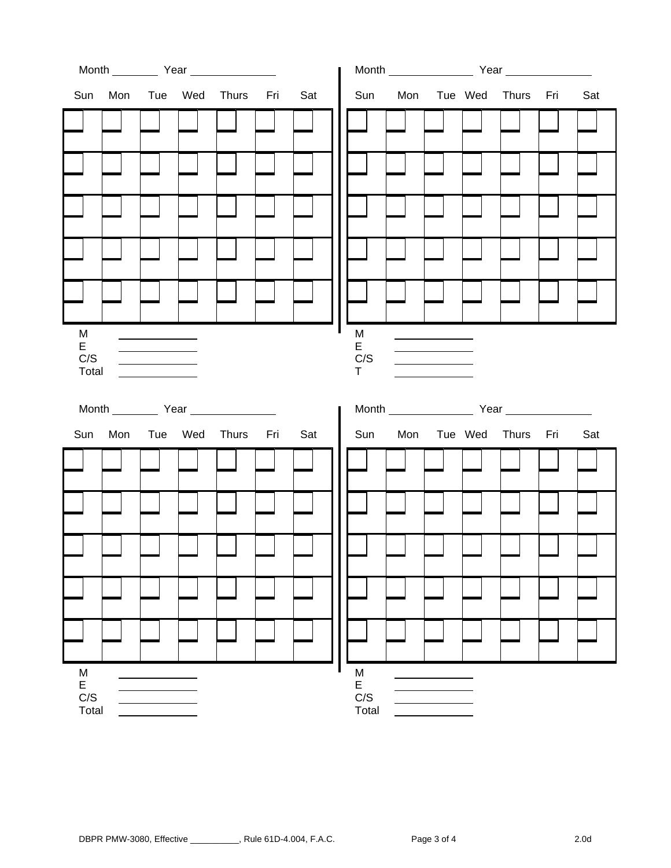| Sun                    |  | Mon Tue Wed Thurs Fri | Sat |                        |                                   | Sun Mon Tue Wed Thurs Fri | Sat |
|------------------------|--|-----------------------|-----|------------------------|-----------------------------------|---------------------------|-----|
|                        |  |                       |     |                        |                                   |                           |     |
|                        |  |                       |     |                        |                                   |                           |     |
|                        |  |                       |     |                        |                                   |                           |     |
|                        |  |                       |     |                        |                                   |                           |     |
|                        |  |                       |     |                        |                                   |                           |     |
| M<br>E<br>C/S<br>Total |  |                       |     | M<br>E<br>C/S<br>T.    | <b>Contract Contract Contract</b> |                           |     |
|                        |  |                       |     |                        |                                   |                           |     |
|                        |  |                       |     |                        |                                   | Month Year Year           |     |
| Sun                    |  | Mon Tue Wed Thurs Fri | Sat |                        |                                   | Sun Mon Tue Wed Thurs Fri | Sat |
|                        |  |                       |     |                        |                                   |                           |     |
|                        |  |                       |     |                        |                                   |                           |     |
|                        |  |                       |     |                        |                                   |                           |     |
|                        |  |                       |     |                        |                                   |                           |     |
| M<br>E<br>C/S          |  |                       |     | M<br>E<br>C/S<br>Total |                                   |                           |     |